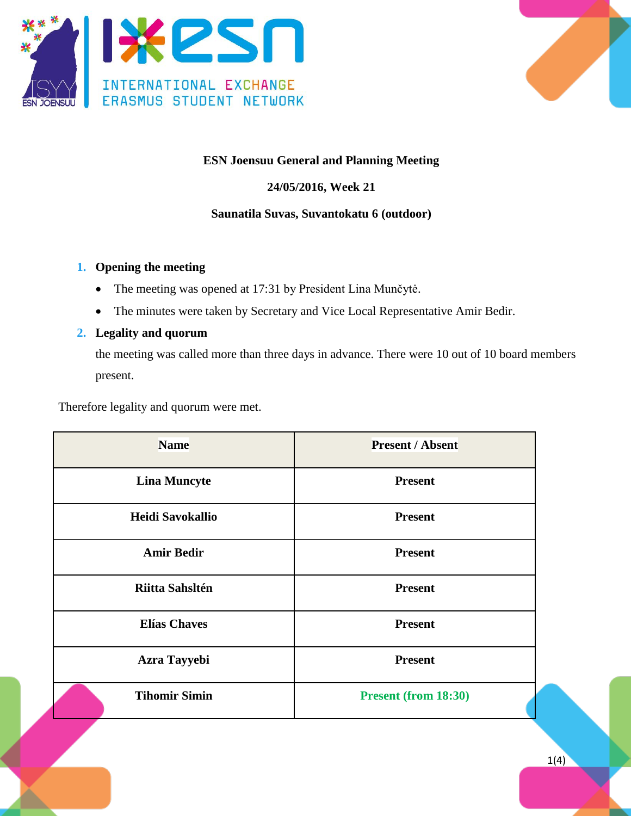



## **ESN Joensuu General and Planning Meeting**

## **24/05/2016, Week 21**

## **Saunatila Suvas, Suvantokatu 6 (outdoor)**

#### **1. Opening the meeting**

- The meeting was opened at 17:31 by President Lina Munčytė.
- The minutes were taken by Secretary and Vice Local Representative Amir Bedir.

#### **2. Legality and quorum**

the meeting was called more than three days in advance. There were 10 out of 10 board members present.

Therefore legality and quorum were met.

| <b>Name</b>          | <b>Present / Absent</b>     |
|----------------------|-----------------------------|
| <b>Lina Muncyte</b>  | <b>Present</b>              |
| Heidi Savokallio     | <b>Present</b>              |
| <b>Amir Bedir</b>    | <b>Present</b>              |
| Riitta Sahsltén      | <b>Present</b>              |
| <b>Elías Chaves</b>  | <b>Present</b>              |
| <b>Azra Tayyebi</b>  | <b>Present</b>              |
| <b>Tihomir Simin</b> | <b>Present (from 18:30)</b> |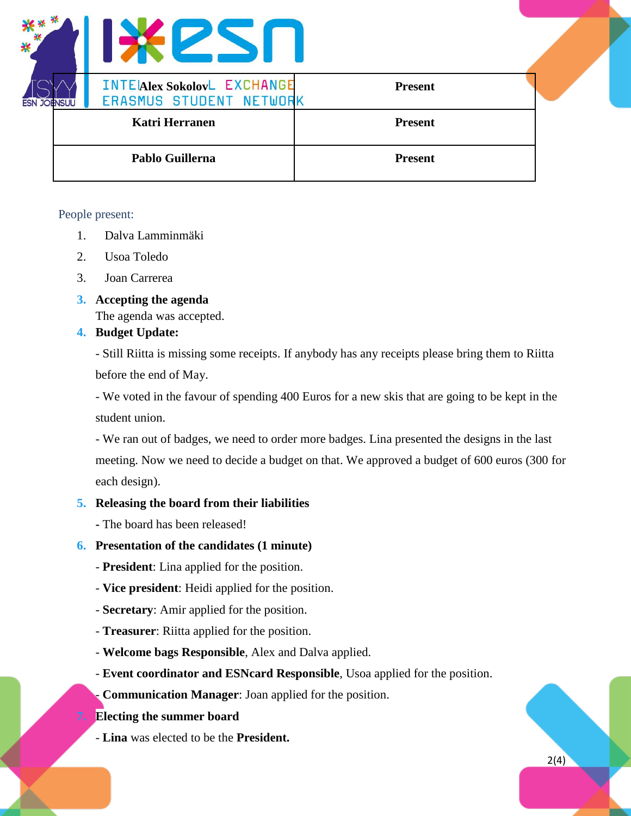

#### People present:

- 1. Dalva Lamminmäki
- 2. Usoa Toledo
- 3. Joan Carrerea
- **3. Accepting the agenda**

The agenda was accepted.

## **4. Budget Update:**

- Still Riitta is missing some receipts. If anybody has any receipts please bring them to Riitta before the end of May.

- We voted in the favour of spending 400 Euros for a new skis that are going to be kept in the student union.

- We ran out of badges, we need to order more badges. Lina presented the designs in the last meeting. Now we need to decide a budget on that. We approved a budget of 600 euros (300 for each design).

## **5. Releasing the board from their liabilities**

**-** The board has been released!

## **6. Presentation of the candidates (1 minute)**

- **President**: Lina applied for the position.
- **Vice president**: Heidi applied for the position.
- **Secretary**: Amir applied for the position.
- **Treasurer**: Riitta applied for the position.
- **Welcome bags Responsible**, Alex and Dalva applied.
- **Event coordinator and ESNcard Responsible**, Usoa applied for the position.

- **Communication Manager**: Joan applied for the position.

## **7. Electing the summer board**

- **Lina** was elected to be the **President.**

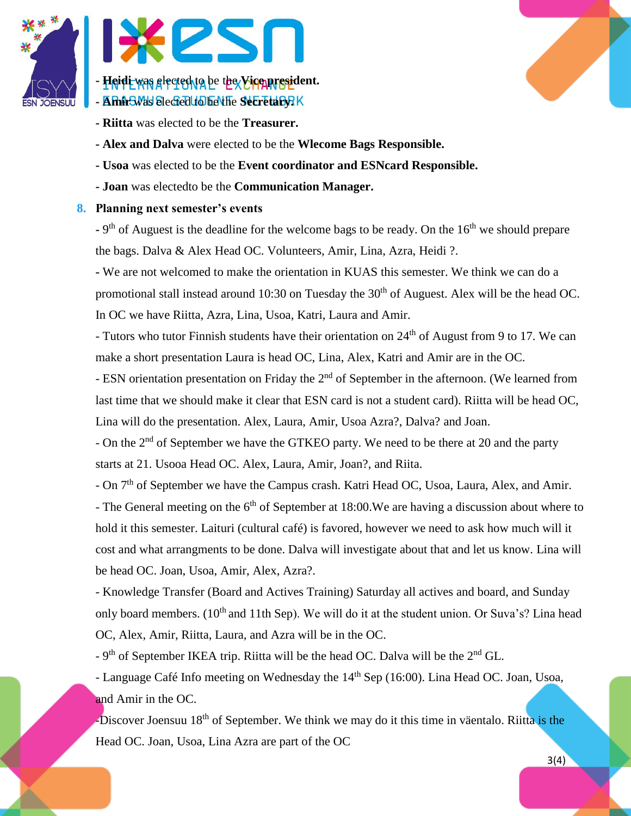



- **- Riitta** was elected to be the **Treasurer.**
- **- Alex and Dalva** were elected to be the **Wlecome Bags Responsible.**
- **- Usoa** was elected to be the **Event coordinator and ESNcard Responsible.**
- **- Joan** was electedto be the **Communication Manager.**

## **8. Planning next semester's events**

**-** 9<sup>th</sup> of Auguest is the deadline for the welcome bags to be ready. On the 16<sup>th</sup> we should prepare the bags. Dalva & Alex Head OC. Volunteers, Amir, Lina, Azra, Heidi ?.

**-** We are not welcomed to make the orientation in KUAS this semester. We think we can do a promotional stall instead around 10:30 on Tuesday the 30<sup>th</sup> of Auguest. Alex will be the head OC. In OC we have Riitta, Azra, Lina, Usoa, Katri, Laura and Amir.

- Tutors who tutor Finnish students have their orientation on 24<sup>th</sup> of August from 9 to 17. We can make a short presentation Laura is head OC, Lina, Alex, Katri and Amir are in the OC.

- ESN orientation presentation on Friday the 2<sup>nd</sup> of September in the afternoon. (We learned from last time that we should make it clear that ESN card is not a student card). Riitta will be head OC, Lina will do the presentation. Alex, Laura, Amir, Usoa Azra?, Dalva? and Joan.

- On the 2<sup>nd</sup> of September we have the GTKEO party. We need to be there at 20 and the party starts at 21. Usooa Head OC. Alex, Laura, Amir, Joan?, and Riita.

- On 7<sup>th</sup> of September we have the Campus crash. Katri Head OC, Usoa, Laura, Alex, and Amir. - The General meeting on the  $6<sup>th</sup>$  of September at 18:00. We are having a discussion about where to hold it this semester. Laituri (cultural café) is favored, however we need to ask how much will it cost and what arrangments to be done. Dalva will investigate about that and let us know. Lina will be head OC. Joan, Usoa, Amir, Alex, Azra?.

- Knowledge Transfer (Board and Actives Training) Saturday all actives and board, and Sunday only board members.  $(10<sup>th</sup>$  and 11th Sep). We will do it at the student union. Or Suva's? Lina head OC, Alex, Amir, Riitta, Laura, and Azra will be in the OC.

 $-9<sup>th</sup>$  of September IKEA trip. Riitta will be the head OC. Dalva will be the  $2<sup>nd</sup>$  GL.

- Language Café Info meeting on Wednesday the 14<sup>th</sup> Sep (16:00). Lina Head OC. Joan, Usoa, and Amir in the OC.

-Discover Joensuu 18<sup>th</sup> of September. We think we may do it this time in väentalo. Riitta is the Head OC. Joan, Usoa, Lina Azra are part of the OC